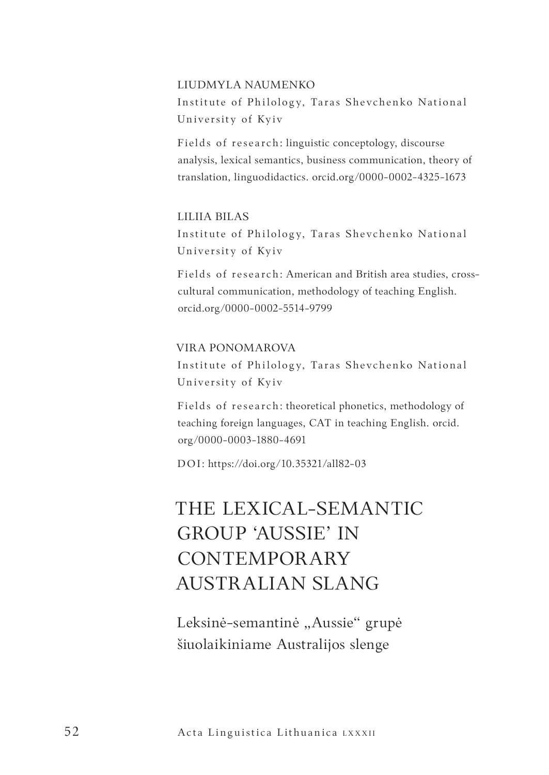#### LIUDMYLA NAUMENKO

Institute of Philology, Taras Shevchenko National University of Kyiv

Fields of research: linguistic conceptology, discourse analysis, lexical semantics, business communication, theory of translation, linguodidactics. orcid.org/0000-0002-4325-1673

## LILIIA BILAS

Institute of Philology, Taras Shevchenko National University of Kyiv

Fields of research: American and British area studies, crosscultural communication, methodology of teaching English. orcid.org/0000-0002-5514-9799

## VIRA PONOMAROVA

Institute of Philology, Taras Shevchenko National University of Kyiv

Fields of research: theoretical phonetics, methodology of teaching foreign languages, CAT in teaching English. orcid. org/0000-0003-1880-4691

DOI: https://doi.org/10.35321/all82-03

# THE LEXICAL-SEMANTIC GROUP 'AUSSIE' IN CONTEMPORARY AUSTRALIAN SLANG

Leksinė-semantinė "Aussie" grupė šiuolaikiniame Australijos slenge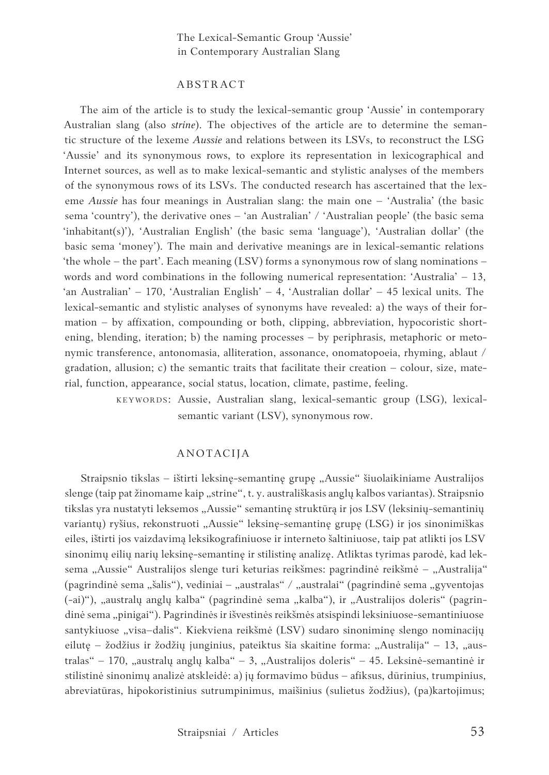#### ABSTRACT

The aim of the article is to study the lexical-semantic group 'Aussie' in contemporary Australian slang (also *strine*). The objectives of the article are to determine the semantic structure of the lexeme *Aussie* and relations between its LSVs, to reconstruct the LSG 'Aussie' and its synonymous rows, to explore its representation in lexicographical and Internet sources, as well as to make lexical-semantic and stylistic analyses of the members of the synonymous rows of its LSVs. The conducted research has ascertained that the lexeme *Aussie* has four meanings in Australian slang: the main one – 'Australia' (the basic sema 'country'), the derivative ones – 'an Australian' / 'Australian people' (the basic sema 'inhabitant(s)'), 'Australian English' (the basic sema 'language'), 'Australian dollar' (the basic sema 'money'). The main and derivative meanings are in lexical-semantic relations 'the whole – the part'. Each meaning (LSV) forms a synonymous row of slang nominations – words and word combinations in the following numerical representation: 'Australia' – 13, 'an Australian' – 170, 'Australian English' – 4, 'Australian dollar' – 45 lexical units. The lexical-semantic and stylistic analyses of synonyms have revealed: a) the ways of their formation – by affixation, compounding or both, clipping, abbreviation, hypocoristic shortening, blending, iteration; b) the naming processes – by periphrasis, metaphoric or metonymic transference, antonomasia, alliteration, assonance, onomatopoeia, rhyming, ablaut / gradation, allusion; c) the semantic traits that facilitate their creation  $-$  colour, size, material, function, appearance, social status, location, climate, pastime, feeling.

> KEYWORDS: Aussie, Australian slang, lexical-semantic group (LSG), lexicalsemantic variant (LSV), synonymous row.

### ANOTACIJA

Straipsnio tikslas – ištirti leksine-semantine grupe "Aussie" šiuolaikiniame Australijos slenge (taip pat žinomame kaip "strine", t. y. australiškasis anglų kalbos variantas). Straipsnio tikslas yra nustatyti leksemos "Aussie" semantinę struktūrą ir jos LSV (leksinių-semantinių variantų) ryšius, rekonstruoti "Aussie" leksinę-semantinę grupę (LSG) ir jos sinonimiškas eiles, ištirti jos vaizdavimą leksikografiniuose ir interneto šaltiniuose, taip pat atlikti jos LSV sinonimų eilių narių leksinę-semantinę ir stilistinę analizę. Atliktas tyrimas parodė, kad leksema "Aussie" Australijos slenge turi keturias reikšmes: pagrindinė reikšmė – "Australija" (pagrindinė sema "šalis"), vediniai – "australas" / "australai" (pagrindinė sema "gyventojas (-ai)"), "australų anglų kalba" (pagrindinė sema "kalba"), ir "Australijos doleris" (pagrindinė sema "pinigai"). Pagrindinės ir išvestinės reikšmės atsispindi leksiniuose-semantiniuose santykiuose "visa-dalis". Kiekviena reikšmė (LSV) sudaro sinoniminę slengo nominacijų eilutę – žodžius ir žodžių junginius, pateiktus šia skaitine forma: "Australija" – 13, "australas" – 170, "australų anglų kalba" – 3, "Australijos doleris" – 45. Leksinė-semantinė ir stilistinė sinonimų analizė atskleidė: a) jų formavimo būdus – afiksus, dūrinius, trumpinius, abreviatūras, hipokoristinius sutrumpinimus, maišinius (sulietus žodžius), (pa)kartojimus;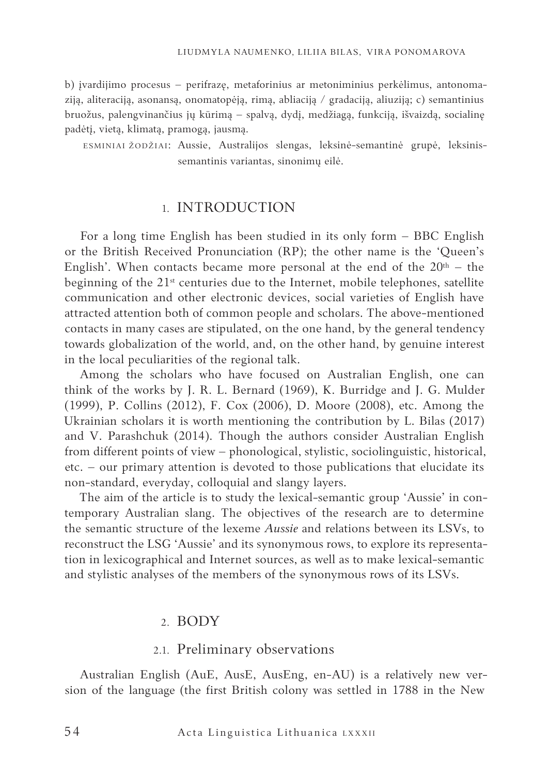b) įvardijimo procesus – perifrazę, metaforinius ar metoniminius perkėlimus, antonomaziją, aliteraciją, asonansą, onomatopėją, rimą, abliaciją / gradaciją, aliuziją; c) semantinius bruožus, palengvinančius jų kūrimą – spalvą, dydį, medžiagą, funkciją, išvaizdą, socialinę padėtį, vietą, klimatą, pramogą, jausmą.

ESMINIAI ŽODŽIAI: Aussie, Australijos slengas, leksinė-semantinė grupė, leksinissemantinis variantas, sinonimų eilė.

## 1. INTRODUCTION

For a long time English has been studied in its only form – BBC English or the British Received Pronunciation (RP); the other name is the 'Queen's English'. When contacts became more personal at the end of the  $20<sup>th</sup>$  – the beginning of the  $21<sup>st</sup>$  centuries due to the Internet, mobile telephones, satellite communication and other electronic devices, social varieties of English have attracted attention both of common people and scholars. The above-mentioned contacts in many cases are stipulated, on the one hand, by the general tendency towards globalization of the world, and, on the other hand, by genuine interest in the local peculiarities of the regional talk.

Among the scholars who have focused on Australian English, one can think of the works by J. R. L. Bernard (1969), K. Burridge and J. G. Mulder (1999), P. Collins (2012), F. Cox (2006), D. Moore (2008), etc. Among the Ukrainian scholars it is worth mentioning the contribution by L. Bilas (2017) and V. Parashchuk (2014). Though the authors consider Australian English from different points of view – phonological, stylistic, sociolinguistic, historical, etc. – our primary attention is devoted to those publications that elucidate its non-standard, everyday, colloquial and slangy layers.

The aim of the article is to study the lexical-semantic group 'Aussie' in contemporary Australian slang. The objectives of the research are to determine the semantic structure of the lexeme *Aussie* and relations between its LSVs, to reconstruct the LSG 'Aussie' and its synonymous rows, to explore its representation in lexicographical and Internet sources, as well as to make lexical-semantic and stylistic analyses of the members of the synonymous rows of its LSVs.

## 2. BODY

## 2.1. Preliminary observations

Australian English (AuE, AusE, AusEng, en-AU) is a relatively new version of the language (the first British colony was settled in 1788 in the New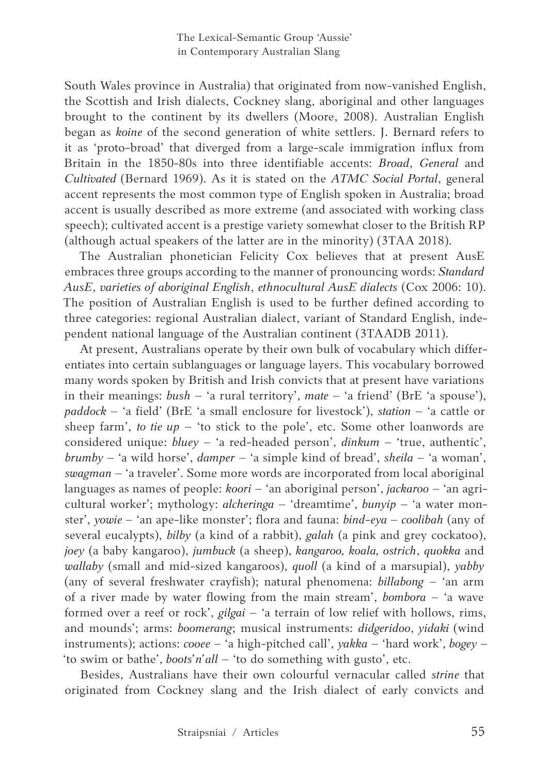South Wales province in Australia) that originated from now-vanished English, the Scottish and Irish dialects, Cockney slang, aboriginal and other languages brought to the continent by its dwellers (Moore, 2008). Australian English began as *koine* of the second generation of white settlers. J. Bernard refers to it as 'proto-broad' that diverged from a large-scale immigration influx from Britain in the 1850-80s into three identifiable accents: *Broad*, *General* and *Cultivated* (Bernard 1969). As it is stated on the *ATMC Social Portal*, general accent represents the most common type of English spoken in Australia; broad accent is usually described as more extreme (and associated with working class speech); cultivated accent is a prestige variety somewhat closer to the British RP (although actual speakers of the latter are in the minority) (3TAA 2018).

The Australian phonetician Felicity Cox believes that at present AusE embraces three groups according to the manner of pronouncing words: *Standard AusE*, *varieties of aboriginal English*, *ethnocultural AusE dialects* (Cox 2006: 10). The position of Australian English is used to be further defined according to three categories: regional Australian dialect, variant of Standard English, independent national language of the Australian continent (3TAADB 2011).

At present, Australians operate by their own bulk of vocabulary which differentiates into certain sublanguages or language layers. This vocabulary borrowed many words spoken by British and Irish convicts that at present have variations in their meanings: *bush* – 'a rural territory', *mate* – 'a friend' (BrE 'a spouse'), *paddock* – 'a field' (BrE 'a small enclosure for livestock'), *station* – 'a cattle or sheep farm', *to tie up* – 'to stick to the pole', etc. Some other loanwords are considered unique: *bluey* – 'a red-headed person', *dinkum* – 'true, authentic', *brumby* – 'a wild horse', *damper* – 'a simple kind of bread', *sheila* – 'a woman', *swagman* – 'a traveler'. Some more words are incorporated from local aboriginal languages as names of people: *koori* – 'an aboriginal person', *jackaroo* – 'an agricultural worker'; mythology: *alcheringa* – 'dreamtime', *bunyip* – 'a water monster', *yowie* – 'an ape-like monster'; flora and fauna: *bind-eya – coolibah* (any of several eucalypts), *bilby* (a kind of a rabbit), *galah* (a pink and grey cockatoo), *joey* (a baby kangaroo), *jumbuck* (a sheep), *kangaroo, koala, ostrich*, *quokka* and *wallaby* (small and mid-sized kangaroos), *quoll* (a kind of a marsupial), *yabby* (any of several freshwater crayfish); natural phenomena: *billabong* – 'an arm of a river made by water flowing from the main stream', *bombora* – 'a wave formed over a reef or rock', *gilgai* – 'a terrain of low relief with hollows, rims, and mounds'; arms: *boomerang*; musical instruments: *didgeridoo*, *yidaki* (wind instruments); actions: *cooee* – 'a high-pitched call', *yakka* – 'hard work', *bogey* – 'to swim or bathe', *boots'n'all* – 'to do something with gusto', etc.

Besides, Australians have their own colourful vernacular called *strine* that originated from Cockney slang and the Irish dialect of early convicts and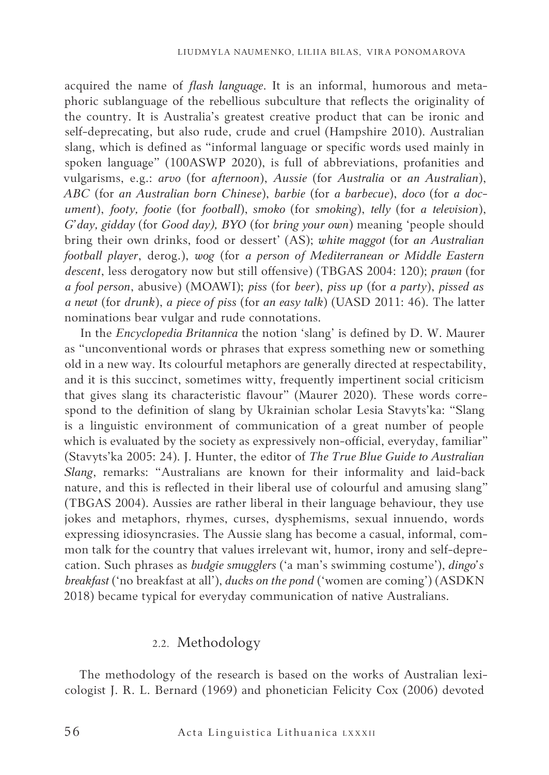acquired the name of *flash language*. It is an informal, humorous and metaphoric sublanguage of the rebellious subculture that reflects the originality of the country. It is Australia's greatest creative product that can be ironic and self-deprecating, but also rude, crude and cruel (Hampshire 2010). Australian slang, which is defined as "informal language or specific words used mainly in spoken language" (100ASWP 2020), is full of abbreviations, profanities and vulgarisms, e.g.: *arvo* (for *afternoon*), *Aussie* (for *Australia* or *an Australian*), *ABC* (for *an Australian born Chinese*), *barbie* (for *a barbecue*), *doco* (for *a document*), *footy, footie* (for *football*), *smoko* (for *smoking*), *telly* (for *a television*), *G'day, gidday* (for *Good day), BYO* (for *bring your own*) meaning 'people should bring their own drinks, food or dessert' (AS); *white maggot* (for *an Australian football player*, derog.), *wog* (for *a person of Mediterranean or Middle Eastern descent*, less derogatory now but still offensive) (TBGAS 2004: 120); *prawn* (for *a fool person*, abusive) (MOAWI); *piss* (for *beer*), *piss up* (for *a party*), *pissed as a newt* (for *drunk*), *a piece of piss* (for *an easy talk*) (UASD 2011: 46). The latter nominations bear vulgar and rude connotations.

In the *Encyclopedia Britannica* the notion 'slang' is defined by D. W. Maurer as "unconventional words or phrases that express something new or something old in a new way. Its colourful metaphors are generally directed at respectability, and it is this succinct, sometimes witty, frequently impertinent social criticism that gives slang its characteristic flavour" (Maurer 2020). These words correspond to the definition of slang by Ukrainian scholar Lesia Stavyts'ka: "Slang is a linguistic environment of communication of a great number of people which is evaluated by the society as expressively non-official, everyday, familiar" (Stavyts'ka 2005: 24). J. Hunter, the editor of *The True Blue Guide to Australian Slang*, remarks: "Australians are known for their informality and laid-back nature, and this is reflected in their liberal use of colourful and amusing slang" (TBGAS 2004). Aussies are rather liberal in their language behaviour, they use jokes and metaphors, rhymes, curses, dysphemisms, sexual innuendo, words expressing idiosyncrasies. The Aussie slang has become a casual, informal, common talk for the country that values irrelevant wit, humor, irony and self-deprecation. Such phrases as *budgie smugglers* ('a man's swimming costume'), *dingo's breakfast* ('no breakfast at all'), *ducks on the pond* ('women are coming') (ASDKN 2018) became typical for everyday communication of native Australians.

## 2.2. Methodology

The methodology of the research is based on the works of Australian lexicologist J. R. L. Bernard (1969) and phonetician Felicity Cox (2006) devoted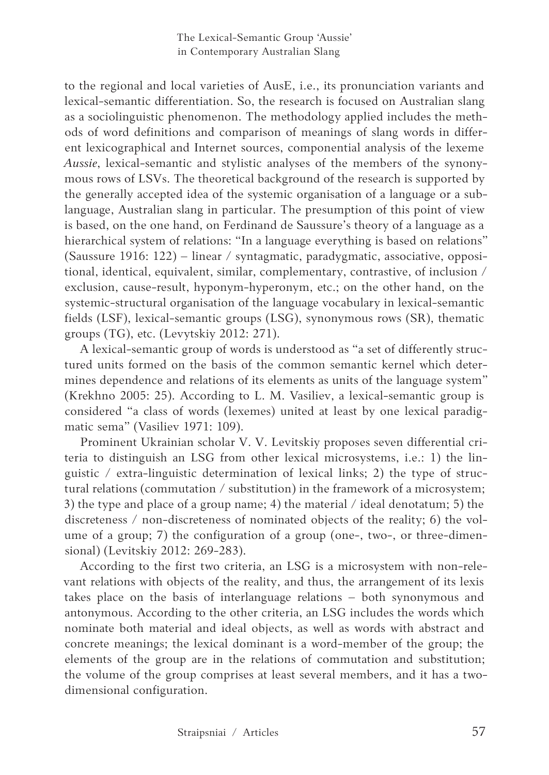to the regional and local varieties of AusE, i.e., its pronunciation variants and lexical-semantic differentiation. So, the research is focused on Australian slang as a sociolinguistic phenomenon. The methodology applied includes the methods of word definitions and comparison of meanings of slang words in different lexicographical and Internet sources, componential analysis of the lexeme *Aussie*, lexical-semantic and stylistic analyses of the members of the synonymous rows of LSVs. The theoretical background of the research is supported by the generally accepted idea of the systemic organisation of a language or a sublanguage, Australian slang in particular. The presumption of this point of view is based, on the one hand, on Ferdinand de Saussure's theory of a language as a hierarchical system of relations: "In a language everything is based on relations" (Saussure 1916: 122) – linear / syntagmatic, paradygmatic, associative, oppositional, identical, equivalent, similar, complementary, contrastive, of inclusion / exclusion, cause-result, hyponym-hyperonym, etc.; on the other hand, on the systemic-structural organisation of the language vocabulary in lexical-semantic fields (LSF), lexical-semantic groups (LSG), synonymous rows (SR), thematic groups (TG), etc. (Levytskiy 2012: 271).

A lexical-semantic group of words is understood as "a set of differently structured units formed on the basis of the common semantic kernel which determines dependence and relations of its elements as units of the language system" (Krekhno 2005: 25). According to L. M. Vasiliev, a lexical-semantic group is considered "a class of words (lexemes) united at least by one lexical paradigmatic sema" (Vasiliev 1971: 109).

Prominent Ukrainian scholar V. V. Levitskiy proposes seven differential criteria to distinguish an LSG from other lexical microsystems, i.e.: 1) the linguistic / extra-linguistic determination of lexical links; 2) the type of structural relations (commutation / substitution) in the framework of a microsystem; 3) the type and place of a group name; 4) the material / ideal denotatum; 5) the discreteness / non-discreteness of nominated objects of the reality; 6) the volume of a group; 7) the configuration of a group (one-, two-, or three-dimensional) (Levitskiy 2012: 269-283).

According to the first two criteria, an LSG is a microsystem with non-relevant relations with objects of the reality, and thus, the arrangement of its lexis takes place on the basis of interlanguage relations – both synonymous and antonymous. According to the other criteria, an LSG includes the words which nominate both material and ideal objects, as well as words with abstract and concrete meanings; the lexical dominant is a word-member of the group; the elements of the group are in the relations of commutation and substitution; the volume of the group comprises at least several members, and it has a twodimensional configuration.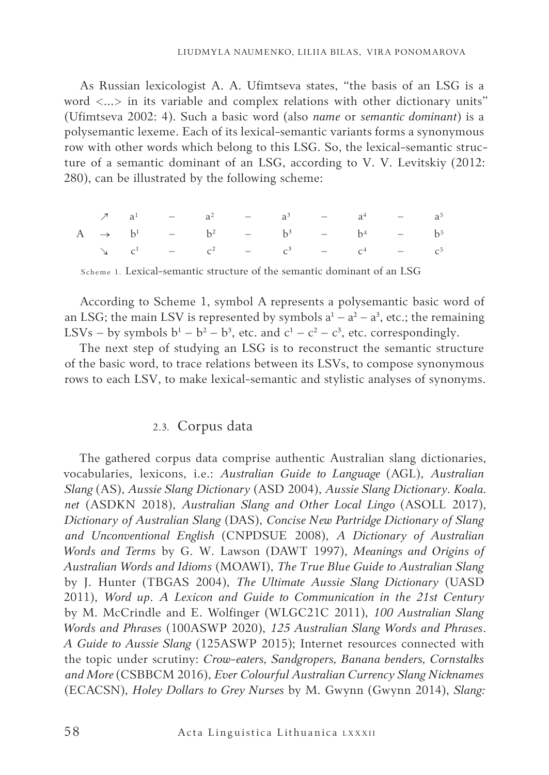As Russian lexicologist A. A. Ufimtseva states, "the basis of an LSG is a word <...> in its variable and complex relations with other dictionary units" (Ufimtseva 2002: 4). Such a basic word (also *name* or *semantic dominant*) is a polysemantic lexeme. Each of its lexical-semantic variants forms a synonymous row with other words which belong to this LSG. So, the lexical-semantic structure of a semantic dominant of an LSG, according to V. V. Levitskiy (2012: 280), can be illustrated by the following scheme:

|  |  |  |  | $7 \t a1$ - $a2$ - $a3$ - $a4$ - $a5$                                                              |  |
|--|--|--|--|----------------------------------------------------------------------------------------------------|--|
|  |  |  |  | A $\rightarrow$ b <sup>1</sup> - b <sup>2</sup> - b <sup>3</sup> - b <sup>4</sup> - b <sup>5</sup> |  |
|  |  |  |  | $\Delta$ $c^1$ – $c^2$ – $c^3$ – $c^4$ – $c^5$                                                     |  |

Scheme 1. Lexical-semantic structure of the semantic dominant of an LSG

According to Scheme 1, symbol A represents a polysemantic basic word of an LSG; the main LSV is represented by symbols  $a<sup>1</sup> - a<sup>2</sup> - a<sup>3</sup>$ , etc.; the remaining LSVs – by symbols  $b^1 - b^2 - b^3$ , etc. and  $c^1 - c^2 - c^3$ , etc. correspondingly.

The next step of studying an LSG is to reconstruct the semantic structure of the basic word, to trace relations between its LSVs, to compose synonymous rows to each LSV, to make lexical-semantic and stylistic analyses of synonyms.

## 2.3. Corpus data

The gathered corpus data comprise authentic Australian slang dictionaries, vocabularies, lexicons, i.e.: *Australian Guide to Language* (AGL), *Australian Slang* (AS), *Aussie Slang Dictionary* (ASD 2004), *Aussie Slang Dictionary. Koala. net* (ASDKN 2018), *Australian Slang and Other Local Lingo* (ASOLL 2017), *Dictionary of Australian Slang* (DAS), *Concise New Partridge Dictionary of Slang and Unconventional English* (CNPDSUE 2008), *A Dictionary of Australian Words and Terms* by G. W. Lawson (DAWT 1997), *Meanings and Origins of Australian Words and Idioms* (MOAWI), *The True Blue Guide to Australian Slang* by J. Hunter (TBGAS 2004), *The Ultimate Aussie Slang Dictionary* (UASD 2011), *Word up*. *A Lexicon and Guide to Communication in the 21st Century* by M. McCrindle and E. Wolfinger (WLGC21C 2011), *100 Australian Slang Words and Phrases* (100ASWP 2020), *125 Australian Slang Words and Phrases*. *A Guide to Aussie Slang* (125ASWP 2015); Internet resources connected with the topic under scrutiny: *Crow-eaters, Sandgropers, Banana benders, Cornstalks and More* (CSBBCM 2016), *Ever Colourful Australian Currency Slang Nicknames*  (ECACSN), *Holey Dollars to Grey Nurses* by M. Gwynn (Gwynn 2014), *Slang:*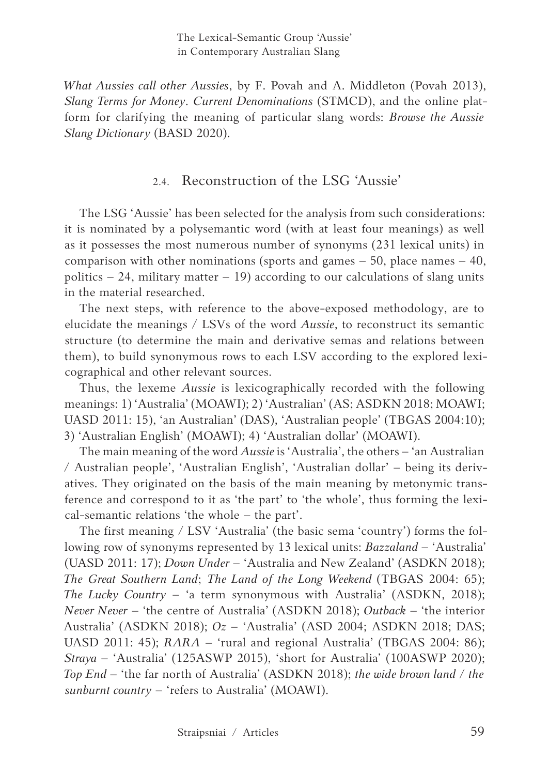*What Aussies call other Aussies*, by F. Povah and A. Middleton (Povah 2013), *Slang Terms for Money*. *Current Denominations* (STMCD), and the online platform for clarifying the meaning of particular slang words: *Browse the Aussie Slang Dictionary* (BASD 2020).

## 2.4. Reconstruction of the LSG 'Aussie'

The LSG 'Aussie' has been selected for the analysis from such considerations: it is nominated by a polysemantic word (with at least four meanings) as well as it possesses the most numerous number of synonyms (231 lexical units) in comparison with other nominations (sports and games  $-50$ , place names  $-40$ , politics  $-24$ , military matter  $-19$ ) according to our calculations of slang units in the material researched.

The next steps, with reference to the above-exposed methodology, are to elucidate the meanings / LSVs of the word *Aussie*, to reconstruct its semantic structure (to determine the main and derivative semas and relations between them), to build synonymous rows to each LSV according to the explored lexicographical and other relevant sources.

Thus, the lexeme *Aussie* is lexicographically recorded with the following meanings: 1) 'Australia' (MOAWI); 2) 'Australian' (AS; ASDKN 2018; MOAWI; UASD 2011: 15), 'an Australian' (DAS), 'Australian people' (TBGAS 2004:10); 3) 'Australian English' (MOAWI); 4) 'Australian dollar' (MOAWI).

The main meaning of the word *Aussie* is 'Australia', the others – 'an Australian / Australian people', 'Australian English', 'Australian dollar' – being its derivatives. They originated on the basis of the main meaning by metonymic transference and correspond to it as 'the part' to 'the whole', thus forming the lexical-semantic relations 'the whole – the part'.

The first meaning / LSV 'Australia' (the basic sema 'country') forms the following row of synonyms represented by 13 lexical units: *Bazzaland –* 'Australia' (UASD 2011: 17); *Down Under* – 'Australia and New Zealand' (ASDKN 2018); *The Great Southern Land*; *The Land of the Long Weekend* (TBGAS 2004: 65); *The Lucky Country* – 'a term synonymous with Australia' (ASDKN, 2018); *Never Never* – 'the centre of Australia' (ASDKN 2018); *Outback* – 'the interior Australia' (ASDKN 2018); *Oz –* 'Australia' (ASD 2004; ASDKN 2018; DAS; UASD 2011: 45); *RARA* – 'rural and regional Australia' (TBGAS 2004: 86); *Straya –* 'Australia' (125ASWP 2015), 'short for Australia' (100ASWP 2020); *Top End* – 'the far north of Australia' (ASDKN 2018); *the wide brown land / the sunburnt country* – 'refers to Australia' (MOAWI).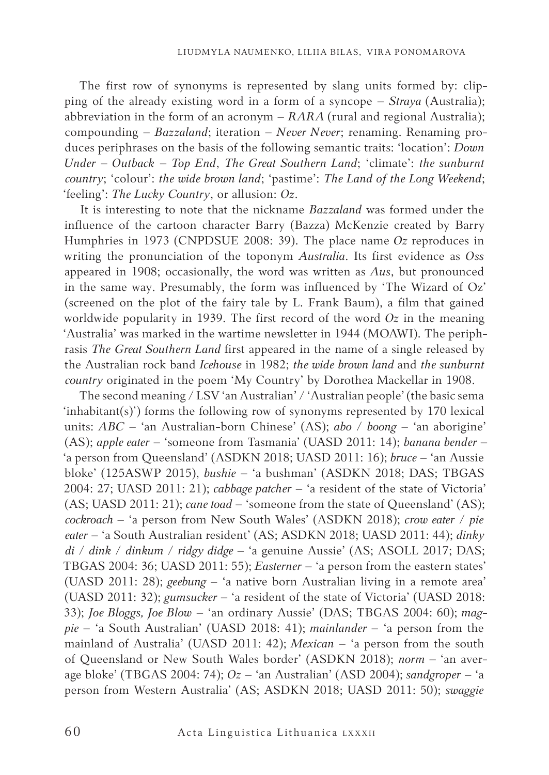The first row of synonyms is represented by slang units formed by: clipping of the already existing word in a form of a syncope – *Straya* (Australia); abbreviation in the form of an acronym  $- RARA$  (rural and regional Australia); compounding – *Bazzaland*; iteration – *Never Never*; renaming. Renaming produces periphrases on the basis of the following semantic traits: 'location': *Down Under* – *Outback* – *Top End*, *The Great Southern Land*; 'climate': *the sunburnt country*; 'colour': *the wide brown land*; 'pastime': *The Land of the Long Weekend*; 'feeling': *The Lucky Country*, or allusion: *Oz*.

It is interesting to note that the nickname *Bazzaland* was formed under the influence of the cartoon character Barry (Bazza) McKenzie created by Barry Humphries in 1973 (CNPDSUE 2008: 39). The place name *Oz* reproduces in writing the pronunciation of the toponym *Australia*. Its first evidence as *Oss* appeared in 1908; occasionally, the word was written as *Aus*, but pronounced in the same way. Presumably, the form was influenced by 'The Wizard of Oz' (screened on the plot of the fairy tale by L. Frank Baum), a film that gained worldwide popularity in 1939. The first record of the word *Oz* in the meaning 'Australia' was marked in the wartime newsletter in 1944 (MOAWI). The periphrasis *The Great Southern Land* first appeared in the name of a single released by the Australian rock band *Icehouse* in 1982; *the wide brown land* and *the sunburnt country* originated in the poem 'My Country' by Dorothea Mackellar in 1908.

The second meaning / LSV 'an Australian' / 'Australian people' (the basic sema 'inhabitant(s)') forms the following row of synonyms represented by 170 lexical units: *ABC* – 'an Australian-born Chinese' (AS); *abo* / *boong* – 'an aborigine' (AS); *apple eater* – 'someone from Tasmania' (UASD 2011: 14); *banana bender* – 'a person from Queensland' (ASDKN 2018; UASD 2011: 16); *bruce* – 'an Aussie bloke' (125ASWP 2015), *bushie* – 'a bushman' (ASDKN 2018; DAS; TBGAS 2004: 27; UASD 2011: 21); *cabbage patcher* – 'a resident of the state of Victoria' (AS; UASD 2011: 21); *cane toad* – 'someone from the state of Queensland' (AS); *cockroach* – 'a person from New South Wales' (ASDKN 2018); *crow eater* / *pie eater* – 'a South Australian resident' (AS; ASDKN 2018; UASD 2011: 44); *dinky di* / *dink* / *dinkum* / *ridgy didge* – 'a genuine Aussie' (AS; ASOLL 2017; DAS; TBGAS 2004: 36; UASD 2011: 55); *Easterner* – 'a person from the eastern states' (UASD 2011: 28); *geebung* – 'a native born Australian living in a remote area' (UASD 2011: 32); *gumsucker* – 'a resident of the state of Victoria' (UASD 2018: 33); *Joe Bloggs, Joe Blow* – 'an ordinary Aussie' (DAS; TBGAS 2004: 60); *magpie* – 'a South Australian' (UASD 2018: 41); *mainlander* – 'a person from the mainland of Australia' (UASD 2011: 42); *Mexican* – 'a person from the south of Queensland or New South Wales border' (ASDKN 2018); *norm –* 'an average bloke' (TBGAS 2004: 74); *Oz –* 'an Australian' (ASD 2004); *sandgroper* – 'a person from Western Australia' (AS; ASDKN 2018; UASD 2011: 50); *swaggie*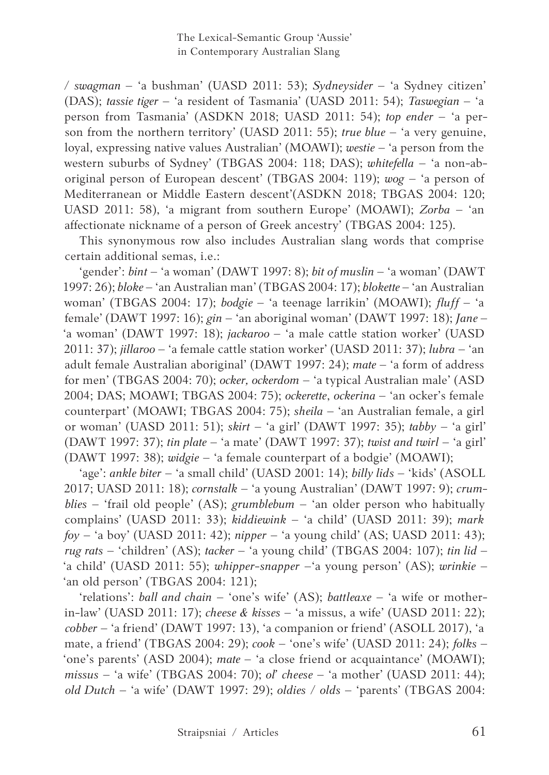*/ swagman –* 'a bushman' (UASD 2011: 53); *Sydneysider –* 'a Sydney citizen' (DAS); *tassie tiger* – 'a resident of Tasmania' (UASD 2011: 54); *Taswegian* – 'a person from Tasmania' (ASDKN 2018; UASD 2011: 54); *top ender* – 'a person from the northern territory' (UASD 2011: 55); *true blue* – 'a very genuine, loyal, expressing native values Australian' (MOAWI); *westie* – 'a person from the western suburbs of Sydney' (TBGAS 2004: 118; DAS); *whitefella* – 'a non-aboriginal person of European descent' (TBGAS 2004: 119); *wog* – 'a person of Mediterranean or Middle Eastern descent'(ASDKN 2018; TBGAS 2004: 120; UASD 2011: 58), 'a migrant from southern Europe' (MOAWI); *Zorba* – 'an affectionate nickname of a person of Greek ancestry' (TBGAS 2004: 125).

This synonymous row also includes Australian slang words that comprise certain additional semas, i.e.:

'gender': *bint* – 'a woman' (DAWT 1997: 8); *bit of muslin* – 'a woman' (DAWT 1997: 26); *bloke* – 'an Australian man' (TBGAS 2004: 17); *blokette* – 'an Australian woman' (TBGAS 2004: 17); *bodgie* – 'a teenage larrikin' (MOAWI); *fluff* – 'a female' (DAWT 1997: 16); *gin* – 'an aboriginal woman' (DAWT 1997: 18); *Jane* – 'a woman' (DAWT 1997: 18); *jackaroo* – 'a male cattle station worker' (UASD 2011: 37); *jillaroo* – 'a female cattle station worker' (UASD 2011: 37); *lubra* – 'an adult female Australian aboriginal' (DAWT 1997: 24); *mate* – 'a form of address for men' (TBGAS 2004: 70); *ocker, ockerdom* – 'a typical Australian male' (ASD 2004; DAS; MOAWI; TBGAS 2004: 75); *ockerette*, *ockerina* – 'an ocker's female counterpart' (MOAWI; TBGAS 2004: 75); *sheila* – 'an Australian female, a girl or woman' (UASD 2011: 51); *skirt* – 'a girl' (DAWT 1997: 35); *tabby* – 'a girl' (DAWT 1997: 37); *tin plate* – 'a mate' (DAWT 1997: 37); *twist and twirl* – 'a girl' (DAWT 1997: 38); *widgie* – 'a female counterpart of a bodgie' (MOAWI);

'age': *ankle biter* – 'a small child' (UASD 2001: 14); *billy lids* – 'kids' (ASOLL 2017; UASD 2011: 18); *cornstalk* – 'a young Australian' (DAWT 1997: 9); *crumblies* – 'frail old people' (AS); *grumblebum* – 'an older person who habitually complains' (UASD 2011: 33); *kiddiewink* – 'a child' (UASD 2011: 39); *mark foy* – 'a boy' (UASD 2011: 42); *nipper* – 'a young child' (AS; UASD 2011: 43); *rug rats* – 'children' (AS); *tacker* – 'a young child' (TBGAS 2004: 107); *tin lid* – 'a child' (UASD 2011: 55); *whipper-snapper* –'a young person' (AS); *wrinkie* – 'an old person' (TBGAS 2004: 121);

'relations': *ball and chain* – 'one's wife' (AS); *battleaxe* – 'a wife or motherin-law' (UASD 2011: 17); *cheese & kisses* – 'a missus, a wife' (UASD 2011: 22); *cobber* – 'a friend' (DAWT 1997: 13), 'a companion or friend' (ASOLL 2017), 'a mate, a friend' (TBGAS 2004: 29); *cook* – 'one's wife' (UASD 2011: 24); *folks* – 'one's parents' (ASD 2004); *mate* – 'a close friend or acquaintance' (MOAWI); *missus* – 'a wife' (TBGAS 2004: 70); *ol' cheese* – 'a mother' (UASD 2011: 44); *old Dutch* – 'a wife' (DAWT 1997: 29); *oldies* / *olds* – 'parents' (TBGAS 2004: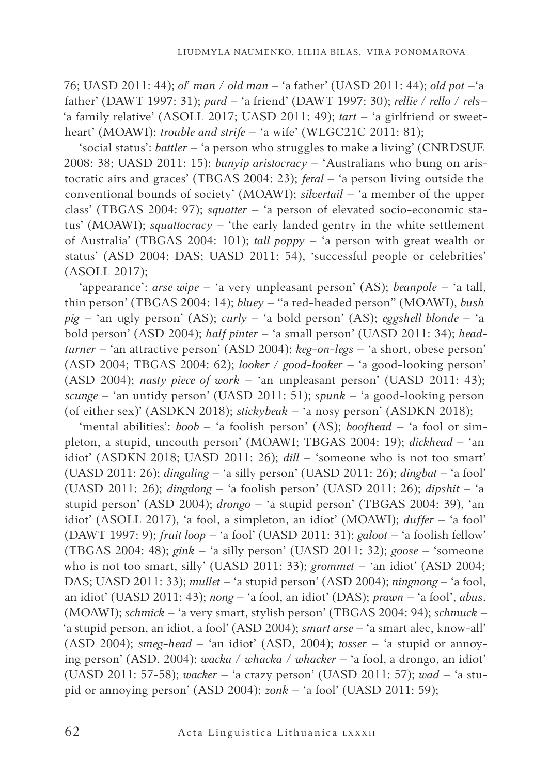76; UASD 2011: 44); *ol' man* / *old man* – 'a father' (UASD 2011: 44); *old pot* –'a father' (DAWT 1997: 31); *pard* – 'a friend' (DAWT 1997: 30); *rellie / rello* / *rels*– 'a family relative' (ASOLL 2017; UASD 2011: 49); *tart* – 'a girlfriend or sweetheart' (MOAWI); *trouble and strife* – 'a wife' (WLGC21C 2011: 81);

'social status': *battler* – 'a person who struggles to make a living' (CNRDSUE 2008: 38; UASD 2011: 15); *bunyip aristocracy* – 'Australians who bung on aristocratic airs and graces' (TBGAS 2004: 23); *feral* – 'a person living outside the conventional bounds of society' (MOAWI); *silvertail* – 'a member of the upper class' (TBGAS 2004: 97); *squatter* – 'a person of elevated socio-economic status' (MOAWI); *squattocracy* – 'the early landed gentry in the white settlement of Australia' (TBGAS 2004: 101); *tall poppy* – 'a person with great wealth or status' (ASD 2004; DAS; UASD 2011: 54), 'successful people or celebrities' (ASOLL 2017);

'appearance': *arse wipe* – 'a very unpleasant person' (AS); *beanpole* – 'a tall, thin person' (TBGAS 2004: 14); *bluey* – "a red-headed person" (MOAWI), *bush pig* – 'an ugly person' (AS); *curly* – 'a bold person' (AS); *eggshell blonde* – 'a bold person' (ASD 2004); *half pinter* – 'a small person' (UASD 2011: 34); *headturner* – 'an attractive person' (ASD 2004); *keg-on-legs* – 'a short, obese person' (ASD 2004; TBGAS 2004: 62); *looker / good-looker* – 'a good-looking person' (ASD 2004); *nasty piece of work* – 'an unpleasant person' (UASD 2011: 43); *scunge* – 'an untidy person' (UASD 2011: 51); *spunk* – 'a good-looking person (of either sex)' (ASDKN 2018); *stickybeak* – 'a nosy person' (ASDKN 2018);

'mental abilities': *boob* – 'a foolish person' (AS); *boofhead* – 'a fool or simpleton, a stupid, uncouth person' (MOAWI; TBGAS 2004: 19); *dickhead* – 'an idiot' (ASDKN 2018; UASD 2011: 26); *dill* – 'someone who is not too smart' (UASD 2011: 26); *dingaling* – 'a silly person' (UASD 2011: 26); *dingbat* – 'a fool' (UASD 2011: 26); *dingdong* – 'a foolish person' (UASD 2011: 26); *dipshit* – 'a stupid person' (ASD 2004); *drongo* – 'a stupid person' (TBGAS 2004: 39), 'an idiot' (ASOLL 2017), 'a fool, a simpleton, an idiot' (MOAWI); *duffer* – 'a fool' (DAWT 1997: 9); *fruit loop* – 'a fool' (UASD 2011: 31); *galoot* – 'a foolish fellow' (TBGAS 2004: 48); *gink* – 'a silly person' (UASD 2011: 32); *goose* – 'someone who is not too smart, silly' (UASD 2011: 33); *grommet* – 'an idiot' (ASD 2004; DAS; UASD 2011: 33); *mullet* – 'a stupid person' (ASD 2004); *ningnong* – 'a fool, an idiot' (UASD 2011: 43); *nong* – 'a fool, an idiot' (DAS); *prawn* – 'a fool', *abus*. (MOAWI); *schmick* – 'a very smart, stylish person' (TBGAS 2004: 94); *schmuck* – 'a stupid person, an idiot, a fool' (ASD 2004); *smart arse* – 'a smart alec, know-all' (ASD 2004); *smeg-head* – 'an idiot' (ASD, 2004); *tosser* – 'a stupid or annoying person' (ASD, 2004); *wacka* / *whacka* / *whacker* – 'a fool, a drongo, an idiot' (UASD 2011: 57-58); *wacker* – 'a crazy person' (UASD 2011: 57); *wad* – 'a stupid or annoying person' (ASD 2004); *zonk* – 'a fool' (UASD 2011: 59);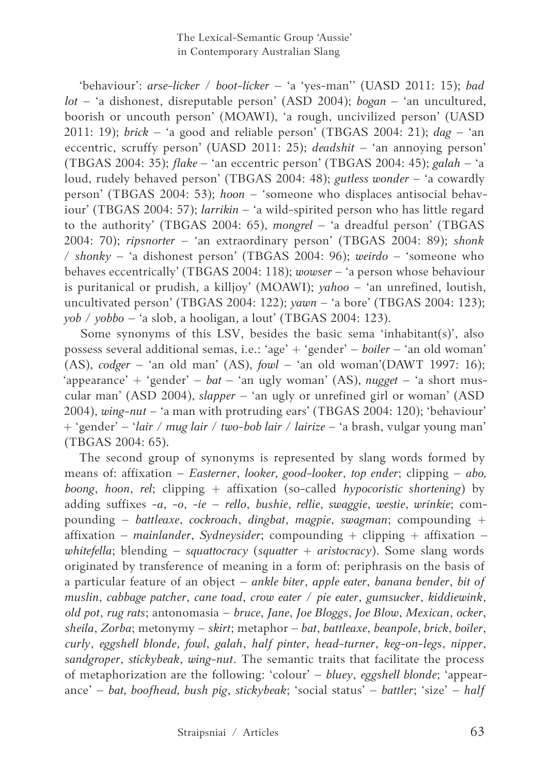'behaviour': *arse-licker* / *boot-licker* – 'a 'yes-man'' (UASD 2011: 15); *bad lot* – 'a dishonest, disreputable person' (ASD 2004); *bogan* – 'an uncultured, boorish or uncouth person' (MOAWI), 'a rough, uncivilized person' (UASD 2011: 19); *brick* – 'a good and reliable person' (TBGAS 2004: 21); *dag* – 'an eccentric, scruffy person' (UASD 2011: 25); *deadshit* – 'an annoying person' (TBGAS 2004: 35); *flake* – 'an eccentric person' (TBGAS 2004: 45); *galah* – 'a loud, rudely behaved person' (TBGAS 2004: 48); *gutless wonder* – 'a cowardly person' (TBGAS 2004: 53); *hoon* – 'someone who displaces antisocial behaviour' (TBGAS 2004: 57); *larrikin* – 'a wild-spirited person who has little regard to the authority' (TBGAS 2004: 65), *mongrel* – 'a dreadful person' (TBGAS 2004: 70); *ripsnorter* – 'an extraordinary person' (TBGAS 2004: 89); *shonk* / *shonky* – 'a dishonest person' (TBGAS 2004: 96); *weirdo* – 'someone who behaves eccentrically' (TBGAS 2004: 118); *wowser* – 'a person whose behaviour is puritanical or prudish, a killjoy' (MOAWI); *yahoo* – 'an unrefined, loutish, uncultivated person' (TBGAS 2004: 122); *yawn* – 'a bore' (TBGAS 2004: 123); *yob* / *yobbo* – 'a slob, a hooligan, a lout' (TBGAS 2004: 123).

Some synonyms of this LSV, besides the basic sema 'inhabitant(s)', also possess several additional semas, i.e.: 'age' + 'gender' – *boiler* – 'an old woman' (AS), *codger* – 'an old man' (AS), *fowl* – 'an old woman'(DAWT 1997: 16); 'appearance' + 'gender' – *bat* – 'an ugly woman' (AS), *nugget* – 'a short muscular man' (ASD 2004), *slapper* – 'an ugly or unrefined girl or woman' (ASD 2004), *wing-nut* – 'a man with protruding ears' (TBGAS 2004: 120); 'behaviour' + 'gender' – '*lair* / *mug lair* / *two-bob lair* / *lairize* – 'a brash, vulgar young man' (TBGAS 2004: 65).

The second group of synonyms is represented by slang words formed by means of: affixation – *Easterner*, *looker, good-looker*, *top ender*; clipping – *abo, boong*, *hoon*, *rel*; clipping + affixation (so-called *hypocoristic shortening*) by adding suffixes -*a*, -*o*, -*ie* – *rello*, *bushie*, *rellie*, *swaggie*, *westie*, *wrinkie*; compounding – *battleaxe*, *cockroach*, *dingbat*, *magpie*, *swagman*; compounding + affixation – *mainlander*, *Sydneysider*; compounding + clipping + affixation – *whitefella*; blending – *squattocracy* (*squatter* + *aristocracy*). Some slang words originated by transference of meaning in a form of: periphrasis on the basis of a particular feature of an object – *ankle biter*, *apple eater*, *banana bender*, *bit of muslin*, *cabbage patcher*, *cane toad*, *crow eater* / *pie eater*, *gumsucker*, *kiddiewink*, *old pot*, *rug rats*; antonomasia – *bruce*, *Jane*, *Joe Bloggs*, *Joe Blow*, *Mexican*, *ocker*, *sheila*, *Zorba*; metonymy – *skirt*; metaphor – *bat*, *battleaxe*, *beanpole*, *brick*, *boiler*, *curly*, *eggshell blonde*, *fowl*, *galah*, *half pinter*, *head-turner*, *keg-on-legs*, *nipper*, *sandgroper*, *stickybeak*, *wing-nut*. The semantic traits that facilitate the process of metaphorization are the following: 'colour' – *bluey*, *eggshell blonde*; 'appearance' – *bat, boofhead, bush pig*, *stickybeak*; 'social status' – *battler*; 'size' – *half*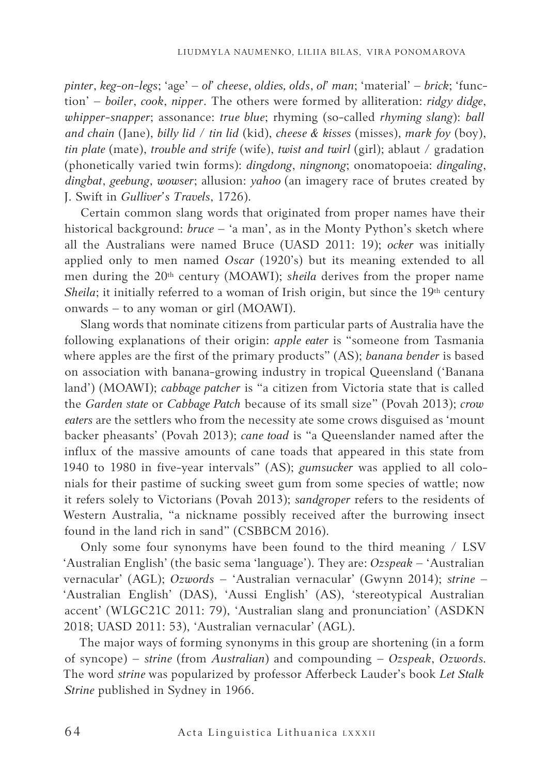*pinter*, *keg-on-legs*; 'age' – *ol' cheese*, *oldies, olds*, *ol' man*; 'material' – *brick*; 'function' – *boiler*, *cook*, *nipper*. The others were formed by alliteration: *ridgy didge*, *whipper-snapper*; assonance: *true blue*; rhyming (so-called *rhyming slang*): *ball and chain* (Jane), *billy lid* / *tin lid* (kid), *cheese & kisses* (misses), *mark foy* (boy), *tin plate* (mate), *trouble and strife* (wife), *twist and twirl* (girl); ablaut / gradation (phonetically varied twin forms): *dingdong*, *ningnong*; onomatopoeia: *dingaling*, *dingbat*, *geebung*, *wowser*; allusion: *yahoo* (an imagery race of brutes created by J. Swift in *Gulliver's Travels*, 1726).

Certain common slang words that originated from proper names have their historical background: *bruce* – 'a man', as in the Monty Python's sketch where all the Australians were named Bruce (UASD 2011: 19); *ocker* was initially applied only to men named *Oscar* (1920's) but its meaning extended to all men during the 20<sup>th</sup> century (MOAWI); *sheila* derives from the proper name *Sheila*; it initially referred to a woman of Irish origin, but since the 19<sup>th</sup> century onwards – to any woman or girl (MOAWI).

Slang words that nominate citizens from particular parts of Australia have the following explanations of their origin: *apple eater* is "someone from Tasmania where apples are the first of the primary products" (AS); *banana bender* is based on association with banana-growing industry in tropical Queensland ('Banana land') (MOAWI); *cabbage patcher* is "a citizen from Victoria state that is called the *Garden state* or *Cabbage Patch* because of its small size" (Povah 2013); *crow eaters* are the settlers who from the necessity ate some crows disguised as 'mount backer pheasants' (Povah 2013); *cane toad* is "a Queenslander named after the influx of the massive amounts of cane toads that appeared in this state from 1940 to 1980 in five-year intervals" (AS); *gumsucker* was applied to all colonials for their pastime of sucking sweet gum from some species of wattle; now it refers solely to Victorians (Povah 2013); *sandgroper* refers to the residents of Western Australia, "a nickname possibly received after the burrowing insect found in the land rich in sand" (CSBBCM 2016).

Only some four synonyms have been found to the third meaning / LSV 'Australian English' (the basic sema 'language'). They are: *Ozspeak* – 'Australian vernacular' (AGL); *Ozwords* – 'Australian vernacular' (Gwynn 2014); *strine* – 'Australian English' (DAS), 'Aussi English' (AS), 'stereotypical Australian accent' (WLGC21C 2011: 79), 'Australian slang and pronunciation' (ASDKN 2018; UASD 2011: 53), 'Australian vernacular' (AGL).

The major ways of forming synonyms in this group are shortening (in a form of syncope) – *strine* (from *Australian*) and compounding – *Ozspeak*, *Ozwords.*  The word *strine* was popularized by professor Afferbeck Lauder's book *Let Stalk Strine* published in Sydney in 1966.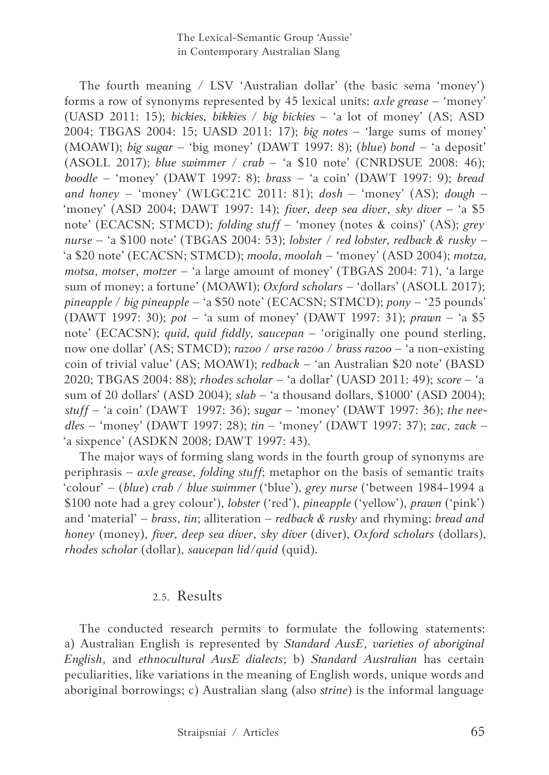The fourth meaning / LSV 'Australian dollar' (the basic sema 'money') forms a row of synonyms represented by 45 lexical units: *axle grease* – 'money' (UASD 2011: 15); *bickies, bikkies / big bickies* – 'a lot of money' (AS; ASD 2004; TBGAS 2004: 15; UASD 2011: 17); *big notes* – 'large sums of money' (MOAWI); *big sugar* – 'big money' (DAWT 1997: 8); (*blue*) *bond* – 'a deposit' (ASOLL 2017); *blue swimmer / crab* – 'a \$10 note' (CNRDSUE 2008: 46); *boodle* – 'money' (DAWT 1997: 8); *brass* – 'a coin' (DAWT 1997: 9); *bread and honey* – 'money' (WLGC21C 2011: 81); *dosh* – 'money' (AS); *dough* – 'money' (ASD 2004; DAWT 1997: 14); *fiver, deep sea diver*, *sky diver –* 'a \$5 note' (ECACSN; STMCD); *folding stuff* – 'money (notes & coins)' (AS); *grey nurse* – 'a \$100 note' (TBGAS 2004: 53); *lobster* / *red lobster, redback & rusky* – 'a \$20 note' (ECACSN; STMCD); *moola*, *moolah* – 'money' (ASD 2004); *motza, motsa*, *motser*, *motzer* – 'a large amount of money' (TBGAS 2004: 71), 'a large sum of money; a fortune' (MOAWI); *Oxford scholars* – 'dollars' (ASOLL 2017); *pineapple* / *big pineapple* – 'a \$50 note' (ECACSN; STMCD); *pony* – '25 pounds' (DAWT 1997: 30); *pot* – 'a sum of money' (DAWT 1997: 31); *prawn* – 'a \$5 note' (ECACSN); *quid, quid fiddly, saucepan* – 'originally one pound sterling, now one dollar' (AS; STMCD); *razoo* / *arse razoo* / *brass razoo* – 'a non-existing coin of trivial value' (AS; MOAWI); *redback* – 'an Australian \$20 note' (BASD 2020; TBGAS 2004: 88); *rhodes scholar* – 'a dollar' (UASD 2011: 49); *score* – 'a sum of 20 dollars' (ASD 2004); *slab* – 'a thousand dollars, \$1000' (ASD 2004); *stuff* – 'a coin' (DAWT 1997: 36); *sugar* – 'money' (DAWT 1997: 36); *the needles* – 'money' (DAWT 1997: 28); *tin* – 'money' (DAWT 1997: 37); *zac*, *zack* – 'a sixpence' (ASDKN 2008; DAWT 1997: 43).

The major ways of forming slang words in the fourth group of synonyms are periphrasis – *axle grease*, *folding stuff*; metaphor on the basis of semantic traits 'colour' – (*blue*) *crab* / *blue swimmer* ('blue'), *grey nurse* ('between 1984-1994 a \$100 note had a grey colour'), *lobster* ('red'), *pineapple* ('yellow'), *prawn* ('pink') and 'material' – *brass*, *tin*; alliteration – *redback & rusky* and rhyming: *bread and honey* (money), *fiver, deep sea diver*, *sky diver* (diver), *Oxford scholars* (dollars), *rhodes scholar* (dollar), *saucepan lid/quid* (quid).

## 2.5. Results

The conducted research permits to formulate the following statements: a) Australian English is represented by *Standard AusE*, *varieties of aboriginal English*, and *ethnocultural AusE dialects*; b) *Standard Australian* has certain peculiarities, like variations in the meaning of English words, unique words and aboriginal borrowings; c) Australian slang (also *strine*) is the informal language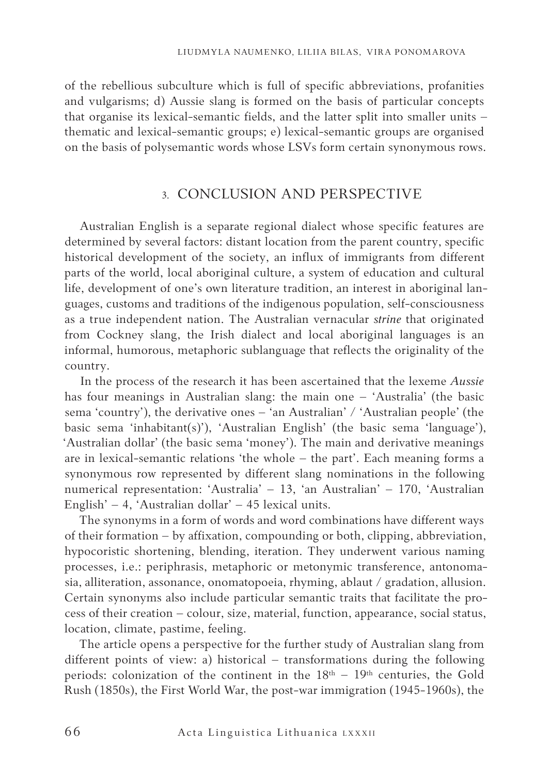of the rebellious subculture which is full of specific abbreviations, profanities and vulgarisms; d) Aussie slang is formed on the basis of particular concepts that organise its lexical-semantic fields, and the latter split into smaller units – thematic and lexical-semantic groups; e) lexical-semantic groups are organised on the basis of polysemantic words whose LSVs form certain synonymous rows.

## 3. CONCLUSION AND PERSPECTIVE

Australian English is a separate regional dialect whose specific features are determined by several factors: distant location from the parent country, specific historical development of the society, an influx of immigrants from different parts of the world, local aboriginal culture, a system of education and cultural life, development of one's own literature tradition, an interest in aboriginal languages, customs and traditions of the indigenous population, self-consciousness as a true independent nation. The Australian vernacular *strine* that originated from Cockney slang, the Irish dialect and local aboriginal languages is an informal, humorous, metaphoric sublanguage that reflects the originality of the country.

In the process of the research it has been ascertained that the lexeme *Aussie* has four meanings in Australian slang: the main one – 'Australia' (the basic sema 'country'), the derivative ones – 'an Australian' / 'Australian people' (the basic sema 'inhabitant(s)'), 'Australian English' (the basic sema 'language'), 'Australian dollar' (the basic sema 'money'). The main and derivative meanings are in lexical-semantic relations 'the whole – the part'. Each meaning forms a synonymous row represented by different slang nominations in the following numerical representation: 'Australia' – 13, 'an Australian' – 170, 'Australian English' – 4, 'Australian dollar' – 45 lexical units.

The synonyms in a form of words and word combinations have different ways of their formation – by affixation, compounding or both, clipping, abbreviation, hypocoristic shortening, blending, iteration. They underwent various naming processes, i.e.: periphrasis, metaphoric or metonymic transference, antonomasia, alliteration, assonance, onomatopoeia, rhyming, ablaut / gradation, allusion. Certain synonyms also include particular semantic traits that facilitate the process of their creation – colour, size, material, function, appearance, social status, location, climate, pastime, feeling.

The article opens a perspective for the further study of Australian slang from different points of view: a) historical – transformations during the following periods: colonization of the continent in the  $18<sup>th</sup> - 19<sup>th</sup>$  centuries, the Gold Rush (1850s), the First World War, the post-war immigration (1945-1960s), the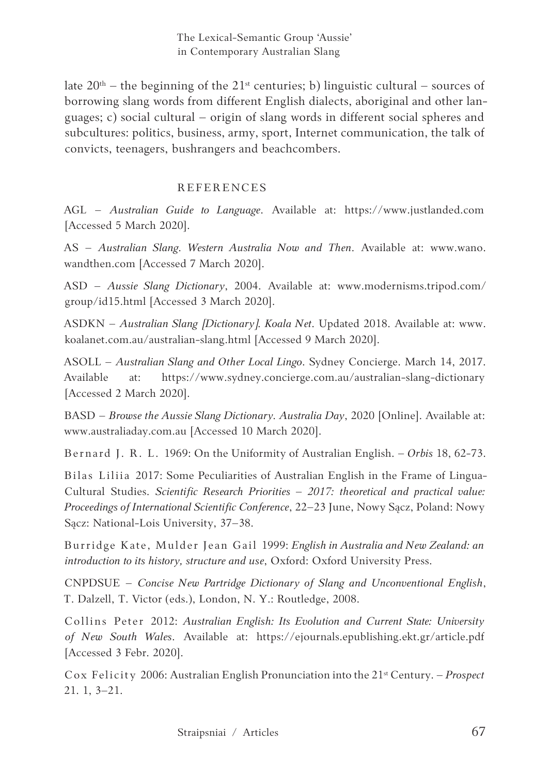late  $20<sup>th</sup>$  – the beginning of the  $21<sup>st</sup>$  centuries; b) linguistic cultural – sources of borrowing slang words from different English dialects, aboriginal and other languages; c) social cultural – origin of slang words in different social spheres and subcultures: politics, business, army, sport, Internet communication, the talk of convicts, teenagers, bushrangers and beachcombers.

## REFERENCES

AGL – *Australian Guide to Language*. Available at: https://www.justlanded.com [Accessed 5 March 2020].

AS – *Australian Slang. Western Australia Now and Then*. Available at: www.wano. wandthen.com [Accessed 7 March 2020].

ASD – *Aussie Slang Dictionary*, 2004. Available at: www.modernisms.tripod.com/ group/id15.html [Accessed 3 March 2020].

ASDKN – *Australian Slang [Dictionary]. Koala Net*. Updated 2018. Available at: www. koalanet.com.au/australian-slang.html [Accessed 9 March 2020].

ASOLL – *Australian Slang and Other Local Lingo*. Sydney Concierge. March 14, 2017. Available at: https://www.sydney.concierge.com.au/australian-slang-dictionary [Accessed 2 March 2020].

BASD – *Browse the Aussie Slang Dictionary. Australia Day*, 2020 [Online]. Available at: www.australiaday.com.au [Accessed 10 March 2020].

Bernard J. R. L. 1969: On the Uniformity of Australian English. – *Orbis* 18, 62-73.

Bilas Liliia 2017: Some Peculiarities of Australian English in the Frame of Lingua-Cultural Studies. *Scientific Research Priorities – 2017: theoretical and practical value: Proceedings of International Scientific Conference*, 22–23 June, Nowy Sącz, Poland: Nowy Sącz: National-Lois University, 37–38.

Burridge Kate, Mulder Jean Gail 1999: *English in Australia and New Zealand: an introduction to its history, structure and use*, Oxford: Oxford University Press.

CNPDSUE – *Concise New Partridge Dictionary of Slang and Unconventional English*, T. Dalzell, T. Victor (eds.), London, N. Y.: Routledge, 2008.

Collins Peter 2012: *Australian English: Its Evolution and Current State: University of New South Wales*. Available at: https://ejournals.epublishing.ekt.gr/article.pdf [Accessed 3 Febr. 2020].

Cox Felicity 2006: Australian English Pronunciation into the 21st Century. – *Prospect* 21. 1, 3–21.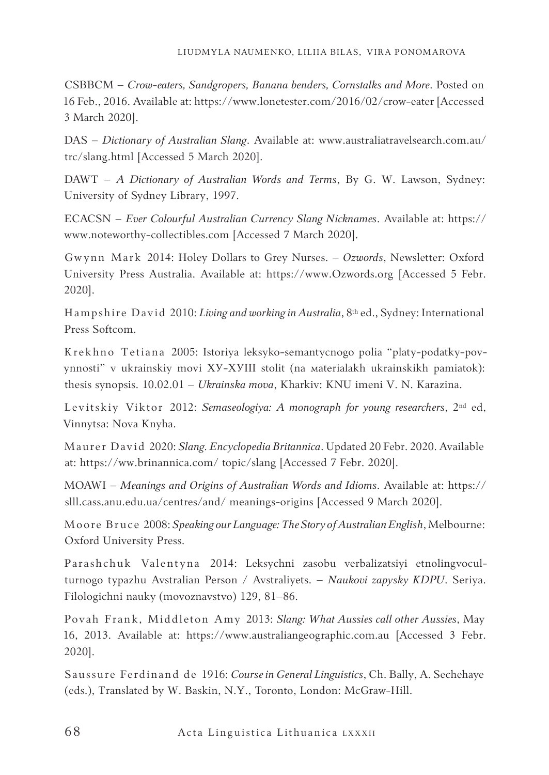CSBBCM – *Crow-eaters, Sandgropers, Banana benders, Cornstalks and More*. Posted on 16 Feb., 2016. Available at: https://www.lonetester.com/2016/02/crow-eater [Accessed 3 March 2020].

DAS – *Dictionary of Australian Slang*. Available at: www.australiatravelsearch.com.au/ trc/slang.html [Accessed 5 March 2020].

DAWT – *A Dictionary of Australian Words and Terms*, By G. W. Lawson, Sydney: University of Sydney Library, 1997.

ECACSN – *Ever Colourful Australian Currency Slang Nicknames*. Available at: https:// www.noteworthy-collectibles.com [Accessed 7 March 2020].

Gwynn Mark 2014: Holey Dollars to Grey Nurses. – *Ozwords*, Newsletter: Oxford University Press Australia. Available at: https://www.Ozwords.org [Accessed 5 Febr. 2020].

Hampshire David 2010: *Living and working in Australia*, 8th ed., Sydney: International Press Softcom.

Кrеkhnо Тetiana 2005: Istoriya leksyko-semantycnogo polia "platy-podatky-povynnosti" v ukrainskiy movi ХУ-ХУІІІ stolit (na маterialakh ukrainskikh pamiatok): thesis synopsis. 10.02.01 – *Ukrainska mova*, Kharkiv: KNU imeni V. N. Karazina.

Levitskiy Viktor 2012: *Semaseologiya: A monograph for young researchers*, 2nd ed, Vinnytsa: Nova Knyha.

Maurer David 2020: *Slang. Encyclopedia Britannica*. Updated 20 Febr. 2020. Available at: https://ww.brinannica.com/ topic/slang [Accessed 7 Febr. 2020].

MOAWI – *Meanings and Origins of Australian Words and Idioms*. Available at: https:// slll.cass.anu.edu.ua/centres/and/ meanings-origins [Accessed 9 March 2020].

Moore Bruce 2008: *Speaking our Language: The Story of Australian English*, Melbourne: Oxford University Press.

Parashchuk Valentyna 2014: Leksychni zasobu verbalizatsiyi etnolingvoculturnogo typazhu Avstralian Person / Avstraliyets. – *Naukovi zapysky KDPU*. Seriya. Filologichni nauky (movoznavstvo) 129, 81–86.

Povah Frank, Middleton Amy 2013: *Slang: What Aussies call other Aussies*, May 16, 2013. Available at: https://www.australiangeographic.com.au [Accessed 3 Febr. 2020].

Saussure Ferdinand de 1916: *Course in General Linguistics*, Ch. Bally, A. Sechehaye (eds.), Translated by W. Baskin, N.Y., Toronto, London: McGraw-Hill.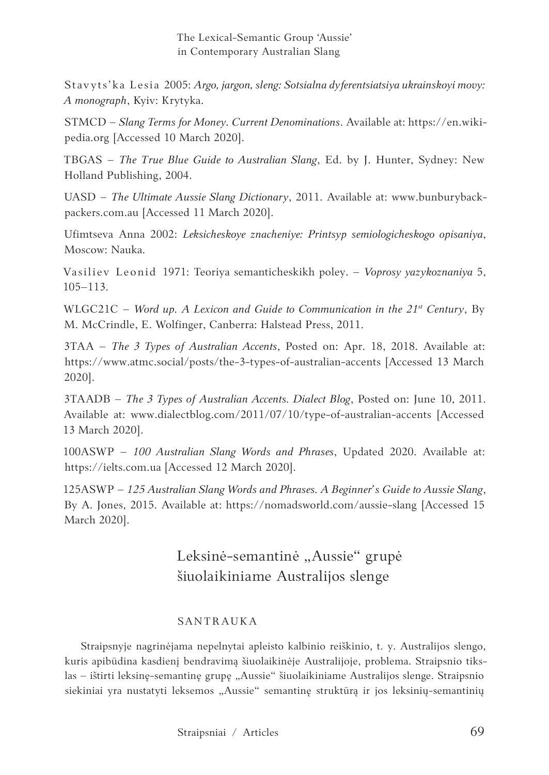Stavyts'ka Lesia 2005: *Аrgo, jargon, sleng: Sotsialna dyferentsiatsiya ukrainskoyi movy: A monograph*, Kyiv: Кrytykа.

STMCD – *Slang Terms for Money. Current Denominations*. Available at: https://en.wikipedia.org [Accessed 10 March 2020].

TBGAS – *The True Blue Guide to Australian Slang*, Ed. by J. Hunter, Sydney: New Holland Publishing, 2004.

UASD – *The Ultimate Aussie Slang Dictionary*, 2011. Available at: www.bunburybackpackers.com.au [Accessed 11 March 2020].

Ufimtseva Аnna 2002: *Leksicheskoye znacheniye: Printsyp semiologicheskogo opisaniya*, Моscow: Naukа.

Vasiliev Leonid 1971: Teoriya semanticheskikh poley. – *Voprosy yazykoznaniya* 5, 105–113.

WLGC21C – Word up. A Lexicon and Guide to Communication in the 21<sup>st</sup> Century, By M. McCrindle, E. Wolfinger, Canberra: Halstead Press, 2011.

3TAA – *The 3 Types of Australian Accents*, Posted on: Apr. 18, 2018. Available at: https://www.atmc.social/posts/the-3-types-of-australian-accents [Accessed 13 March 2020].

3TAADB – *The 3 Types of Australian Accents. Dialect Blog*, Posted on: June 10, 2011. Available at: www.dialectblog.com/2011/07/10/type-of-australian-accents [Accessed 13 March 2020].

100ASWP – *100 Australian Slang Words and Phrases*, Updated 2020. Available at: https://ielts.com.ua [Accessed 12 March 2020].

125ASWP – *125 Australian Slang Words and Phrases. A Beginner's Guide to Aussie Slang*, By A. Jones, 2015. Available at: https://nomadsworld.com/aussie-slang [Accessed 15 March 2020].

## Leksinė-semantinė "Aussie" grupė šiuolaikiniame Australijos slenge

## SANTRAUKA

Straipsnyje nagrinėjama nepelnytai apleisto kalbinio reiškinio, t. y. Australijos slengo, kuris apibūdina kasdienį bendravimą šiuolaikinėje Australijoje, problema. Straipsnio tikslas – ištirti leksinę-semantinę grupę "Aussie" šiuolaikiniame Australijos slenge. Straipsnio siekiniai yra nustatyti leksemos "Aussie" semantinę struktūrą ir jos leksinių-semantinių